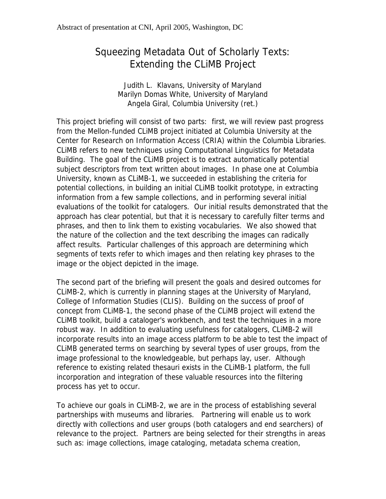## Squeezing Metadata Out of Scholarly Texts: Extending the CLiMB Project

Judith L. Klavans, University of Maryland Marilyn Domas White, University of Maryland Angela Giral, Columbia University (ret.)

This project briefing will consist of two parts: first, we will review past progress from the Mellon-funded CLiMB project initiated at Columbia University at the Center for Research on Information Access (CRIA) within the Columbia Libraries. CLiMB refers to new techniques using Computational Linguistics for Metadata Building. The goal of the CLiMB project is to extract automatically potential subject descriptors from text written about images. In phase one at Columbia University, known as CLiMB-1, we succeeded in establishing the criteria for potential collections, in building an initial CLiMB toolkit prototype, in extracting information from a few sample collections, and in performing several initial evaluations of the toolkit for catalogers. Our initial results demonstrated that the approach has clear potential, but that it is necessary to carefully filter terms and phrases, and then to link them to existing vocabularies. We also showed that the nature of the collection and the text describing the images can radically affect results. Particular challenges of this approach are determining which segments of texts refer to which images and then relating key phrases to the image or the object depicted in the image.

The second part of the briefing will present the goals and desired outcomes for CLiMB-2, which is currently in planning stages at the University of Maryland, College of Information Studies (CLIS). Building on the success of proof of concept from CLiMB-1, the second phase of the CLiMB project will extend the CLiMB toolkit, build a cataloger's workbench, and test the techniques in a more robust way. In addition to evaluating usefulness for catalogers, CLiMB-2 will incorporate results into an image access platform to be able to test the impact of CLiMB generated terms on searching by several types of user groups, from the image professional to the knowledgeable, but perhaps lay, user. Although reference to existing related thesauri exists in the CLiMB-1 platform, the full incorporation and integration of these valuable resources into the filtering process has yet to occur.

To achieve our goals in CLiMB-2, we are in the process of establishing several partnerships with museums and libraries. Partnering will enable us to work directly with collections and user groups (both catalogers and end searchers) of relevance to the project. Partners are being selected for their strengths in areas such as: image collections, image cataloging, metadata schema creation,